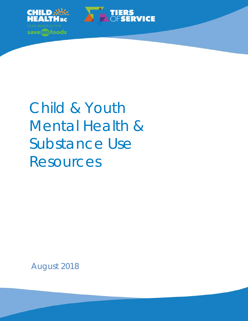



August 2018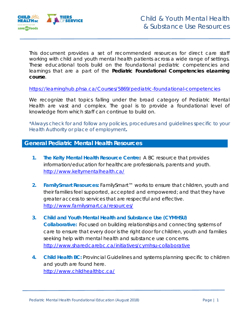

This document provides a set of recommended resources for direct care staff working with child and youth mental health patients across a wide range of settings. These educational tools build on the foundational pediatric competencies and learnings that are a part of the *Pediatric Foundational Competencies eLearning course*.

<https://learninghub.phsa.ca/Courses/5869/pediatric-foundational-competencies>

We recognize that topics falling under the broad category of Pediatric Mental Health are vast and complex. The goal is to provide a foundational level of knowledge from which staff can continue to build on.

\*Always check for and follow any policies, procedures and guidelines specific to your Health Authority or place of employment**.**

## **General Pediatric Mental Health Resources**

- **1. The Kelty Mental Health Resource Centre:** A BC resource that provides information/education for healthcare professionals, parents and youth. <http://www.keltymentalhealth.ca/>
- **2. FamilySmart Resources:** FamilySmart™ works to ensure that children, youth and their families feel supported, accepted and empowered; and that they have greater access to services that are respectful and effective. <http://www.familysmart.ca/resources/>
- **3. Child and Youth Mental Health and Substance Use (CYMHSU) Collaborative:** Focused on building relationships and connecting systems of care to ensure that every door is the right door for children, youth and families seeking help with mental health and substance use concerns. <http://www.sharedcarebc.ca/initiatives/cymhsu-collaborative>
- **4. Child Health BC:** Provincial Guidelines and systems planning specific to children and youth are found here. <http://www.childhealthbc.ca/>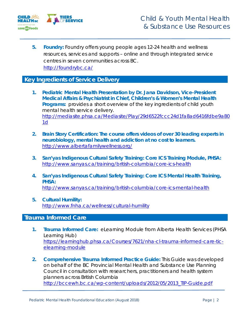

**5. Foundry:** Foundry offers young people ages 12-24 health and wellness resources, services and supports – online and through integrated service centres in seven communities across BC. <http://foundrybc.ca/>

### **Key Ingredients of Service Delivery**

- **1. Pediatric Mental Health Presentation by Dr. Jana Davidson, Vice-President Medical Affairs & Psychiatrist in Chief, Children's & Women's Mental Health**  Programs: provides a short overview of the key ingredients of child youth mental health service delivery. [http://mediasite.phsa.ca/Mediasite/Play/29d6522fccc24d1fa8ad6416fdbe9a80](http://mediasite.phsa.ca/Mediasite/Play/29d6522fccc24d1fa8ad6416fdbe9a801d) [1d](http://mediasite.phsa.ca/Mediasite/Play/29d6522fccc24d1fa8ad6416fdbe9a801d)
- **2. Brain Story Certification: The course offers videos of over 30 leading experts in neurobiology, mental health and addiction at no cost to learners.** <http://www.albertafamilywellness.org/>
- **3. San'yas Indigenous Cultural Safety Training: Core ICS Training Module, PHSA:** <http://www.sanyas.ca/training/british-columbia/core-ics-health>
- **4. San'yas Indigenous Cultural Safety Training: Core ICS Mental Health Training, PHSA:** <http://www.sanyas.ca/training/british-columbia/core-ics-mental-health>
- **5. Cultural Humility:** <http://www.fnha.ca/wellness/cultural-humility>

# **Trauma Informed Care**

- **1. Trauma Informed Care:** eLearning Module from Alberta Health Services (PHSA Learning Hub) [https://learninghub.phsa.ca/Courses/7621/nha-cl-trauma-informed-care-tic](https://learninghub.phsa.ca/Courses/7621/nha-cl-trauma-informed-care-tic-elearning-module)[elearning-module](https://learninghub.phsa.ca/Courses/7621/nha-cl-trauma-informed-care-tic-elearning-module)
- **2. Comprehensive Trauma Informed Practice Guide:** This Guide was developed on behalf of the BC Provincial Mental Health and Substance Use Planning Council in consultation with researchers, practitioners and health system planners across British Columbia [http://bccewh.bc.ca/wp-content/uploads/2012/05/2013\\_TIP-Guide.pdf](http://bccewh.bc.ca/wp-content/uploads/2012/05/2013_TIP-Guide.pdf)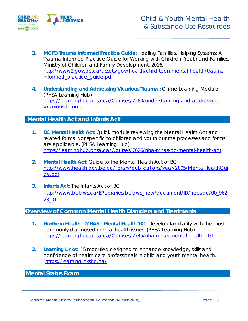

- **3. MCFD Trauma Informed Practice Guide:** Healing Families, Helping Systems: A Trauma-Informed Practice Guide for Working with Children, Youth and Families. Ministry of Children and Family Development, 2016. [http://www2.gov.bc.ca/assets/gov/health/child-teen-mental-health/trauma](http://www2.gov.bc.ca/assets/gov/health/child-teen-mental-health/trauma-informed_practice_guide.pdf)[informed\\_practice\\_guide.pdf](http://www2.gov.bc.ca/assets/gov/health/child-teen-mental-health/trauma-informed_practice_guide.pdf)
- **4. Understanding and Addressing Vicarious Trauma :** Online Learning Module (PHSA Learning Hub) [https://learninghub.phsa.ca/Courses/7284/understanding-and-addressing](https://learninghub.phsa.ca/Courses/7284/understanding-and-addressing-vicarious-trauma)[vicarious-trauma](https://learninghub.phsa.ca/Courses/7284/understanding-and-addressing-vicarious-trauma)

#### **Mental Health Act and Infants Act**

- **1. BC Mental Health Act:** Quick module reviewing the Mental Health Act and related forms. Not specific to children and youth but the processes and forms are applicable. (PHSA Learning Hub) <https://learninghub.phsa.ca/Courses/7626/nha-mhas-bc-mental-health-act>
- **2. Mental Health Act:** Guide to the Mental Health Act of BC [http://www.health.gov.bc.ca/library/publications/year/2005/MentalHealthGui](http://www.health.gov.bc.ca/library/publications/year/2005/MentalHealthGuide.pdf) [de.pdf](http://www.health.gov.bc.ca/library/publications/year/2005/MentalHealthGuide.pdf)
- **3. Infants Act:** The Infants Act of BC [http://www.bclaws.ca/EPLibraries/bclaws\\_new/document/ID/freeside/00\\_962](http://www.bclaws.ca/EPLibraries/bclaws_new/document/ID/freeside/00_96223_01) [23\\_01](http://www.bclaws.ca/EPLibraries/bclaws_new/document/ID/freeside/00_96223_01)

#### **Overview of Common Mental Health Disorders and Treatments**

- **1. Northern Health - MHAS - Mental Health 101**: Develop familiarity with the most commonly diagnosed mental health issues. (PHSA Learning Hub) <https://learninghub.phsa.ca/Courses/7745/nha-mhas-mental-health-101>
- **2. Learning Links:** 15 modules, designed to enhance knowledge, skills and confidence of health care professionals in child and youth mental health. <https://learninglinksbc.ca/>

# **Mental Status Exam**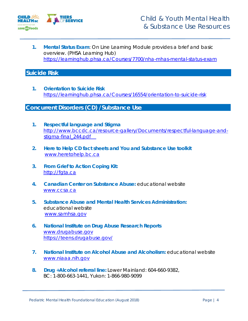

**1. Mental Status Exam**: On Line Learning Module provides a brief and basic overview. (PHSA Learning Hub) <https://learninghub.phsa.ca/Courses/7700/nha-mhas-mental-status-exam>

## **Suicide Risk**

**1. Orientation to Suicide Risk**  <https://learninghub.phsa.ca/Courses/16554/orientation-to-suicide-risk>

#### **Concurrent Disorders (CD) /Substance Use**

- **1. Respectful language and Stigma** [http://www.bccdc.ca/resource-gallery/Documents/respectful-language-and](http://www.bccdc.ca/resource-gallery/Documents/respectful-language-and-stigma-final_244.pdf)[stigma-final\\_244.pdf](http://www.bccdc.ca/resource-gallery/Documents/respectful-language-and-stigma-final_244.pdf)
- **2. Here to Help CD fact sheets and You and Substance Use toolkit** [www.heretohelp.bc.ca](http://www.heretohelp.bc.ca/)
- **3. From Grief to Action Coping Kit:**  [http://fgta.ca](http://fgta.ca/)
- **4. Canadian Center on Substance Abuse:** educational website [www.ccsa.ca](http://www.ccsa.ca/)
- **5. Substance Abuse and Mental Health Services Administration:**  educational website [www.samhsa.gov](http://www.samhsa.gov/)
- **6. National Institute on Drug Abuse Research Reports** [www.drugabuse.gov](http://www.drugabuse.gov/) https://teens.drugabuse.gov/
- **7. National Institute on Alcohol Abuse and Alcoholism:** educational website [www.niaaa.nih.gov](http://www.niaaa.nih.gov/)
- **8. Drug +Alcohol referral line:** Lower Mainland: 604-660-9382, BC: 1-800-663-1441, Yukon: 1-866-980-9099